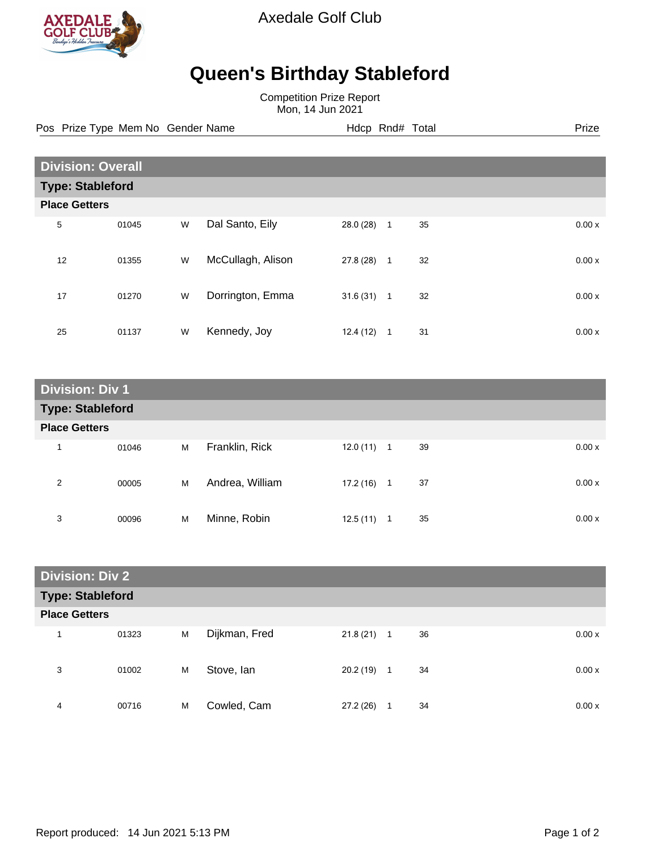

Axedale Golf Club

## **Queen's Birthday Stableford**

Competition Prize Report Mon, 14 Jun 2021

Pos Prize Type Mem No Gender Name **Hdcp Rnd# Total** Prize Prize

| <b>Division: Overall</b> |                         |   |                   |           |                |    |  |       |  |
|--------------------------|-------------------------|---|-------------------|-----------|----------------|----|--|-------|--|
|                          | <b>Type: Stableford</b> |   |                   |           |                |    |  |       |  |
| <b>Place Getters</b>     |                         |   |                   |           |                |    |  |       |  |
| 5                        | 01045                   | W | Dal Santo, Eily   | 28.0 (28) | $\overline{1}$ | 35 |  | 0.00x |  |
| 12                       | 01355                   | W | McCullagh, Alison | 27.8(28)  | $\mathbf{1}$   | 32 |  | 0.00x |  |
| 17                       | 01270                   | W | Dorrington, Emma  | 31.6(31)  | $\mathbf{1}$   | 32 |  | 0.00x |  |
| 25                       | 01137                   | W | Kennedy, Joy      | 12.4(12)  | 1              | 31 |  | 0.00x |  |

| <b>Division: Div 1</b>  |       |   |                 |           |                |              |  |
|-------------------------|-------|---|-----------------|-----------|----------------|--------------|--|
| <b>Type: Stableford</b> |       |   |                 |           |                |              |  |
| <b>Place Getters</b>    |       |   |                 |           |                |              |  |
| 1                       | 01046 | M | Franklin, Rick  | 12.0(11)  | $\overline{1}$ | 39<br>0.00 x |  |
| 2                       | 00005 | M | Andrea, William | 17.2 (16) | 1              | 37<br>0.00 x |  |
| 3                       | 00096 | M | Minne, Robin    | 12.5(11)  | 1              | 35<br>0.00x  |  |

| <b>Division: Div 2</b>  |       |   |               |              |              |             |  |
|-------------------------|-------|---|---------------|--------------|--------------|-------------|--|
| <b>Type: Stableford</b> |       |   |               |              |              |             |  |
| <b>Place Getters</b>    |       |   |               |              |              |             |  |
|                         | 01323 | M | Dijkman, Fred | $21.8(21)$ 1 |              | 36<br>0.00x |  |
| 3                       | 01002 | M | Stove, Ian    | 20.2(19)     | $\mathbf{1}$ | 34<br>0.00x |  |
| 4                       | 00716 | M | Cowled, Cam   | 27.2(26)     | 1            | 34<br>0.00x |  |